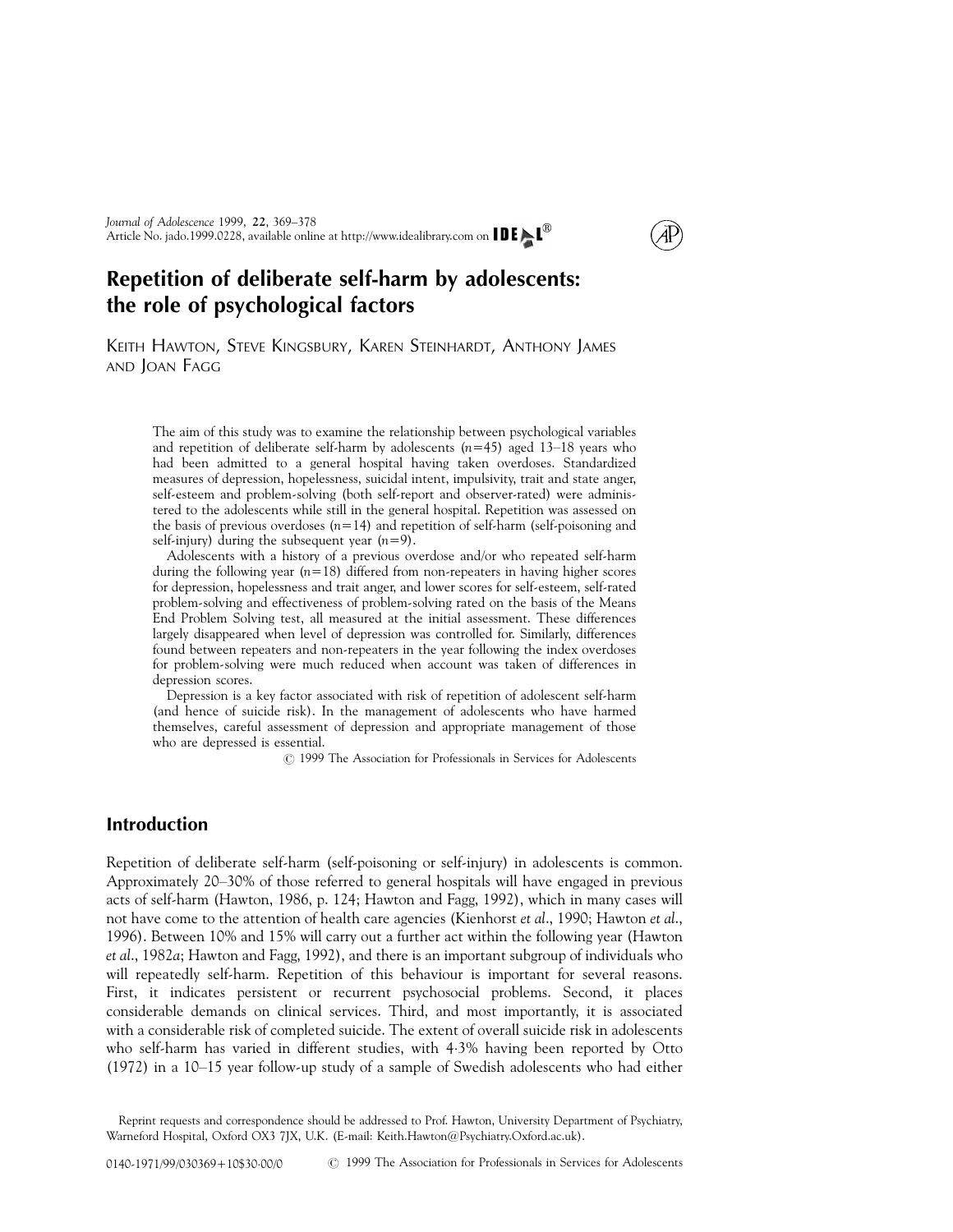# Repetition of deliberate self-harm by adolescents: the role of psychological factors

KEITH HAWTON, STEVE KINGSBURY, KAREN STEINHARDT, ANTHONY JAMES AND JOAN FAGG

The aim of this study was to examine the relationship between psychological variables and repetition of deliberate self-harm by adolescents  $(n=45)$  aged 13–18 years who had been admitted to a general hospital having taken overdoses. Standardized measures of depression, hopelessness, suicidal intent, impulsivity, trait and state anger, self-esteem and problem-solving (both self-report and observer-rated) were administered to the adolescents while still in the general hospital. Repetition was assessed on the basis of previous overdoses  $(n=14)$  and repetition of self-harm (self-poisoning and self-injury) during the subsequent year  $(n=9)$ .

Adolescents with a history of a previous overdose and/or who repeated self-harm during the following year  $(n=18)$  differed from non-repeaters in having higher scores for depression, hopelessness and trait anger, and lower scores for self-esteem, self-rated problem-solving and effectiveness of problem-solving rated on the basis of the Means End Problem Solving test, all measured at the initial assessment. These differences largely disappeared when level of depression was controlled for. Similarly, differences found between repeaters and non-repeaters in the year following the index overdoses for problem-solving were much reduced when account was taken of differences in depression scores.

Depression is a key factor associated with risk of repetition of adolescent self-harm (and hence of suicide risk). In the management of adolescents who have harmed themselves, careful assessment of depression and appropriate management of those who are depressed is essential.

 $\odot$  1999 The Association for Professionals in Services for Adolescents

## Introduction

Repetition of deliberate self-harm (self-poisoning or self-injury) in adolescents is common. Approximately 20-30% of those referred to general hospitals will have engaged in previous acts of self-harm [\(Hawton, 1986](#page-8-0), p. 124; [Hawton and Fagg, 1992\)](#page-8-0), which in many cases will not have come to the attention of health care agencies [\(Kienhorst](#page-9-0) et al., 1990; [Hawton](#page-8-0) et al., [1996\)](#page-8-0). Between 10% and 15% will carry out a further act within the following year ([Hawton](#page-8-0) et al[., 1982](#page-8-0)a; [Hawton and Fagg, 1992\)](#page-8-0), and there is an important subgroup of individuals who will repeatedly self-harm. Repetition of this behaviour is important for several reasons. First, it indicates persistent or recurrent psychosocial problems. Second, it places considerable demands on clinical services. Third, and most importantly, it is associated with a considerable risk of completed suicide. The extent of overall suicide risk in adolescents who self-harm has varied in different studies, with 43% having been reported by [Otto](#page-9-0)  $(1972)$  in a  $10-15$  year follow-up study of a sample of Swedish adolescents who had either

Reprint requests and correspondence should be addressed to Prof. Hawton, University Department of Psychiatry, Warneford Hospital, Oxford OX3 7JX, U.K. (E-mail: Keith.Hawton@Psychiatry.Oxford.ac.uk).

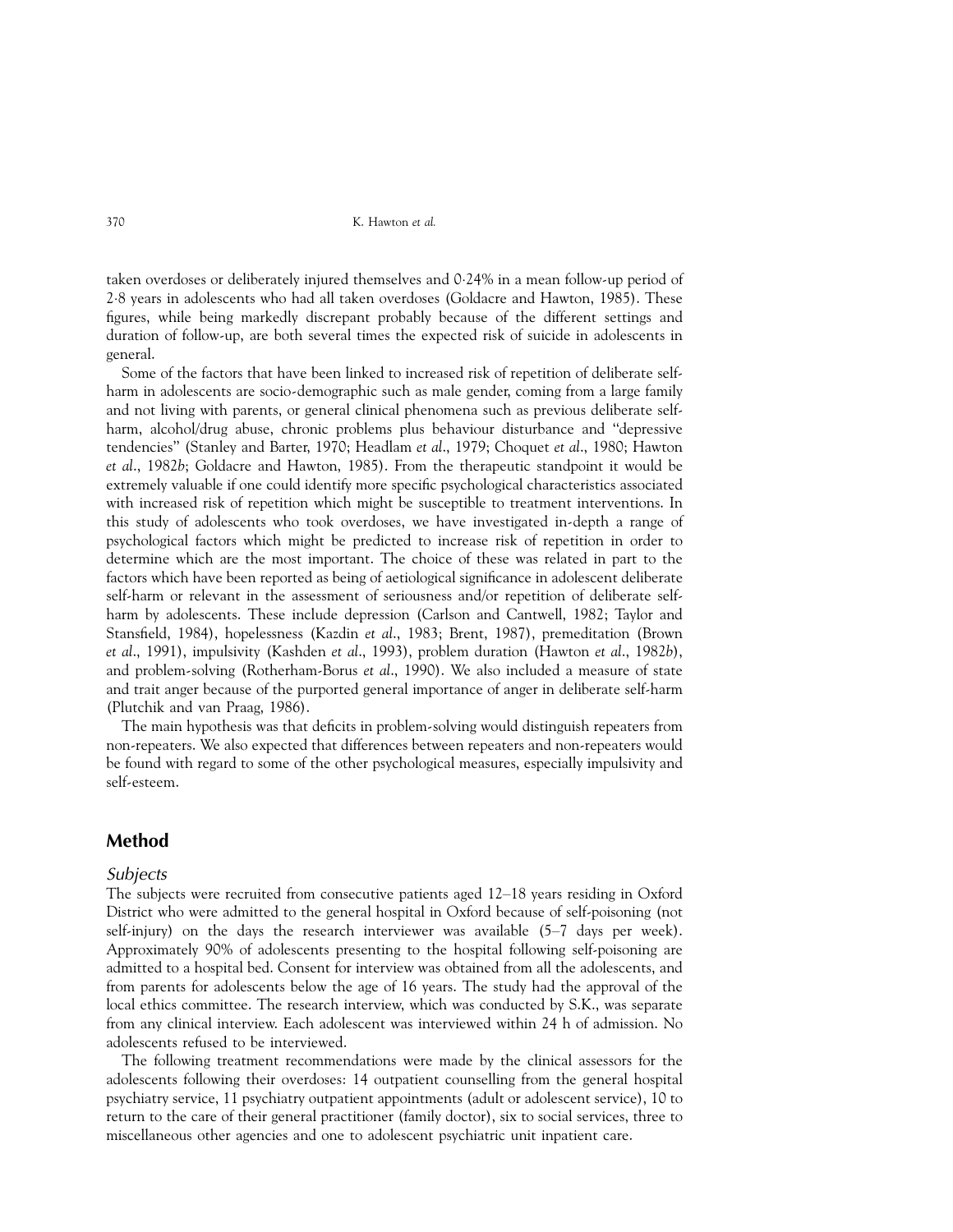taken overdoses or deliberately injured themselves and 024% in a mean follow-up period of 28 years in adolescents who had all taken overdoses [\(Goldacre and Hawton, 1985\)](#page-8-0). These figures, while being markedly discrepant probably because of the different settings and duration of follow-up, are both several times the expected risk of suicide in adolescents in general.

Some of the factors that have been linked to increased risk of repetition of deliberate selfharm in adolescents are socio-demographic such as male gender, coming from a large family and not living with parents, or general clinical phenomena such as previous deliberate selfharm, alcohol/drug abuse, chronic problems plus behaviour disturbance and "depressive tendencies'' [\(Stanley and Barter, 1970;](#page-9-0) [Headlam](#page-8-0) et al., 1979; [Choquet](#page-8-0) et al., 1980; [Hawton](#page-8-0) et al[., 1982](#page-8-0)b; [Goldacre and Hawton, 1985](#page-8-0)). From the therapeutic standpoint it would be extremely valuable if one could identify more specific psychological characteristics associated with increased risk of repetition which might be susceptible to treatment interventions. In this study of adolescents who took overdoses, we have investigated in-depth a range of psychological factors which might be predicted to increase risk of repetition in order to determine which are the most important. The choice of these was related in part to the factors which have been reported as being of aetiological significance in adolescent deliberate self-harm or relevant in the assessment of seriousness and/or repetition of deliberate selfharm by adolescents. These include depression [\(Carlson and Cantwell, 1982;](#page-8-0) [Taylor and](#page-9-0) Stansfield, 1984), hopelessness [\(Kazdin](#page-8-0) et al., 1983; [Brent, 1987\)](#page-8-0), premeditation [\(Brown](#page-8-0) et al[., 1991\)](#page-8-0), impulsivity [\(Kashden](#page-8-0) et al., 1993), problem duration ([Hawton](#page-8-0) et al., 1982b), and problem-solving [\(Rotherham-Borus](#page-9-0) et al., 1990). We also included a measure of state and trait anger because of the purported general importance of anger in deliberate self-harm [\(Plutchik and van Praag, 1986\)](#page-9-0).

The main hypothesis was that deficits in problem-solving would distinguish repeaters from non-repeaters. We also expected that differences between repeaters and non-repeaters would be found with regard to some of the other psychological measures, especially impulsivity and self-esteem.

### Method

#### **Subjects**

The subjects were recruited from consecutive patients aged  $12-18$  years residing in Oxford District who were admitted to the general hospital in Oxford because of self-poisoning (not self-injury) on the days the research interviewer was available  $(5-7)$  days per week). Approximately 90% of adolescents presenting to the hospital following self-poisoning are admitted to a hospital bed. Consent for interview was obtained from all the adolescents, and from parents for adolescents below the age of 16 years. The study had the approval of the local ethics committee. The research interview, which was conducted by S.K., was separate from any clinical interview. Each adolescent was interviewed within 24 h of admission. No adolescents refused to be interviewed.

The following treatment recommendations were made by the clinical assessors for the adolescents following their overdoses: 14 outpatient counselling from the general hospital psychiatry service, 11 psychiatry outpatient appointments (adult or adolescent service), 10 to return to the care of their general practitioner (family doctor), six to social services, three to miscellaneous other agencies and one to adolescent psychiatric unit inpatient care.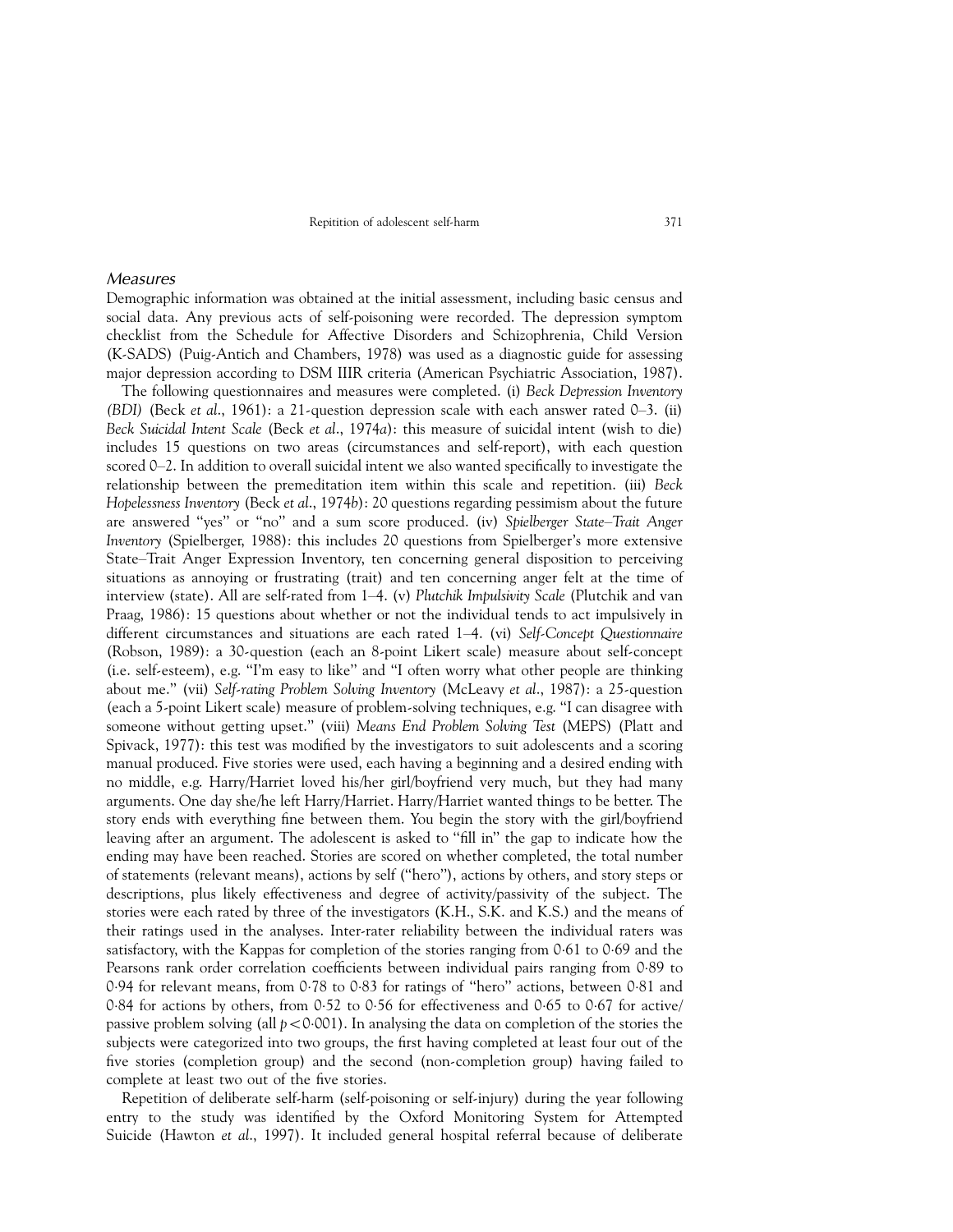#### Measures

Demographic information was obtained at the initial assessment, including basic census and social data. Any previous acts of self-poisoning were recorded. The depression symptom checklist from the Schedule for Affective Disorders and Schizophrenia, Child Version (K-SADS) [\(Puig-Antich and Chambers, 1978\)](#page-9-0) was used as a diagnostic guide for assessing major depression according to DSM IIIR criteria [\(American Psychiatric Association, 1987\)](#page-8-0).

The following questionnaires and measures were completed. (i) Beck Depression Inventory (BDI) (Beck et al[., 1961\)](#page-8-0): a 21-question depression scale with each answer rated  $0-3$ . (ii) Beck Suicidal Intent Scale (Beck et al[., 1974](#page-8-0)a): this measure of suicidal intent (wish to die) includes 15 questions on two areas (circumstances and self-report), with each question scored  $0-2$ . In addition to overall suicidal intent we also wanted specifically to investigate the relationship between the premeditation item within this scale and repetition. (iii) Beck Hopelessness Inventory (Beck et al[., 1974](#page-8-0)b): 20 questions regarding pessimism about the future are answered "yes" or "no" and a sum score produced. (iv) Spielberger State-Trait Anger Inventory [\(Spielberger, 1988\)](#page-9-0): this includes 20 questions from Spielberger's more extensive State-Trait Anger Expression Inventory, ten concerning general disposition to perceiving situations as annoying or frustrating (trait) and ten concerning anger felt at the time of interview (state). All are self-rated from  $1-4$ . (v) Plutchik Impulsivity Scale [\(Plutchik and van](#page-9-0) [Praag, 1986\)](#page-9-0): 15 questions about whether or not the individual tends to act impulsively in different circumstances and situations are each rated 1-4. (vi) Self-Concept Questionnaire [\(Robson, 1989\)](#page-9-0): a 30-question (each an 8-point Likert scale) measure about self-concept (i.e. self-esteem), e.g. "I'm easy to like" and "I often worry what other people are thinking about me.'' (vii) Self-rating Problem Solving Inventory [\(McLeavy](#page-9-0) et al., 1987): a 25-question (each a 5-point Likert scale) measure of problem-solving techniques, e.g. ``I can disagree with someone without getting upset.'' (viii) Means End Problem Solving Test (MEPS) (Platt and Spivack, 1977): this test was modified by the investigators to suit adolescents and a scoring manual produced. Five stories were used, each having a beginning and a desired ending with no middle, e.g. Harry/Harriet loved his/her girl/boyfriend very much, but they had many arguments. One day she/he left Harry/Harriet. Harry/Harriet wanted things to be better. The story ends with everything fine between them. You begin the story with the girl/boyfriend leaving after an argument. The adolescent is asked to "fill in" the gap to indicate how the ending may have been reached. Stories are scored on whether completed, the total number of statements (relevant means), actions by self (``hero''), actions by others, and story steps or descriptions, plus likely effectiveness and degree of activity/passivity of the subject. The stories were each rated by three of the investigators (K.H., S.K. and K.S.) and the means of their ratings used in the analyses. Inter-rater reliability between the individual raters was satisfactory, with the Kappas for completion of the stories ranging from 061 to 069 and the Pearsons rank order correlation coefficients between individual pairs ranging from 0.89 to 0.94 for relevant means, from 0.78 to 0.83 for ratings of "hero" actions, between 0.81 and 0.84 for actions by others, from 0.52 to 0.56 for effectiveness and 0.65 to 0.67 for active/ passive problem solving (all  $p < 0.001$ ). In analysing the data on completion of the stories the subjects were categorized into two groups, the first having completed at least four out of the five stories (completion group) and the second (non-completion group) having failed to complete at least two out of the five stories.

Repetition of deliberate self-harm (self-poisoning or self-injury) during the year following entry to the study was identified by the Oxford Monitoring System for Attempted Suicide [\(Hawton](#page-8-0) et al., 1997). It included general hospital referral because of deliberate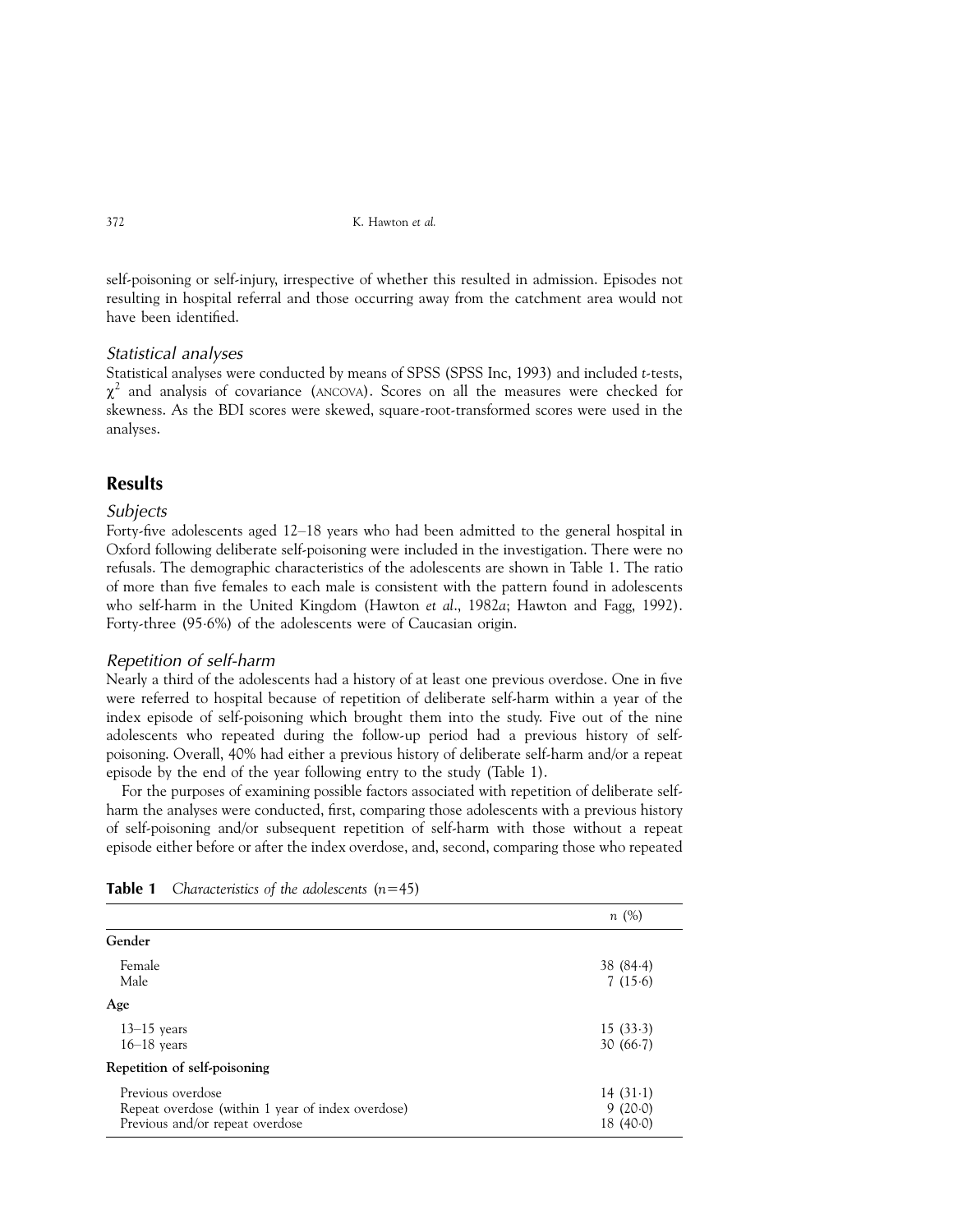self-poisoning or self-injury, irrespective of whether this resulted in admission. Episodes not resulting in hospital referral and those occurring away from the catchment area would not have been identified.

### Statistical analyses

Statistical analyses were conducted by means of SPSS [\(SPSS Inc, 1993\)](#page-9-0) and included t-tests,  $\chi^2$  and analysis of covariance (ANCOVA). Scores on all the measures were checked for skewness. As the BDI scores were skewed, square-root-transformed scores were used in the analyses.

## Results

### **Subjects**

Forty-five adolescents aged 12-18 years who had been admitted to the general hospital in Oxford following deliberate self-poisoning were included in the investigation. There were no refusals. The demographic characteristics of the adolescents are shown in Table 1. The ratio of more than five females to each male is consistent with the pattern found in adolescents who self-harm in the United Kingdom [\(Hawton](#page-8-0) et al., 1982a; [Hawton and Fagg, 1992\)](#page-8-0). Forty-three (95.6%) of the adolescents were of Caucasian origin.

### Repetition of self-harm

Nearly a third of the adolescents had a history of at least one previous overdose. One in five were referred to hospital because of repetition of deliberate self-harm within a year of the index episode of self-poisoning which brought them into the study. Five out of the nine adolescents who repeated during the follow-up period had a previous history of selfpoisoning. Overall, 40% had either a previous history of deliberate self-harm and/or a repeat episode by the end of the year following entry to the study (Table 1).

For the purposes of examining possible factors associated with repetition of deliberate selfharm the analyses were conducted, first, comparing those adolescents with a previous history of self-poisoning and/or subsequent repetition of self-harm with those without a repeat episode either before or after the index overdose, and, second, comparing those who repeated

|                                                                                                           | n(%)                              |
|-----------------------------------------------------------------------------------------------------------|-----------------------------------|
| Gender                                                                                                    |                                   |
| Female<br>Male                                                                                            | 38(84.4)<br>7(15.6)               |
| Age                                                                                                       |                                   |
| $13-15$ years<br>$16-18$ years                                                                            | 15(33.3)<br>30(66.7)              |
| Repetition of self-poisoning                                                                              |                                   |
| Previous overdose<br>Repeat overdose (within 1 year of index overdose)<br>Previous and/or repeat overdose | $14(31-1)$<br>9(20.0)<br>18(40.0) |

|  | <b>Table 1</b> Characteristics of the adolescents $(n=45)$ |  |  |  |
|--|------------------------------------------------------------|--|--|--|
|--|------------------------------------------------------------|--|--|--|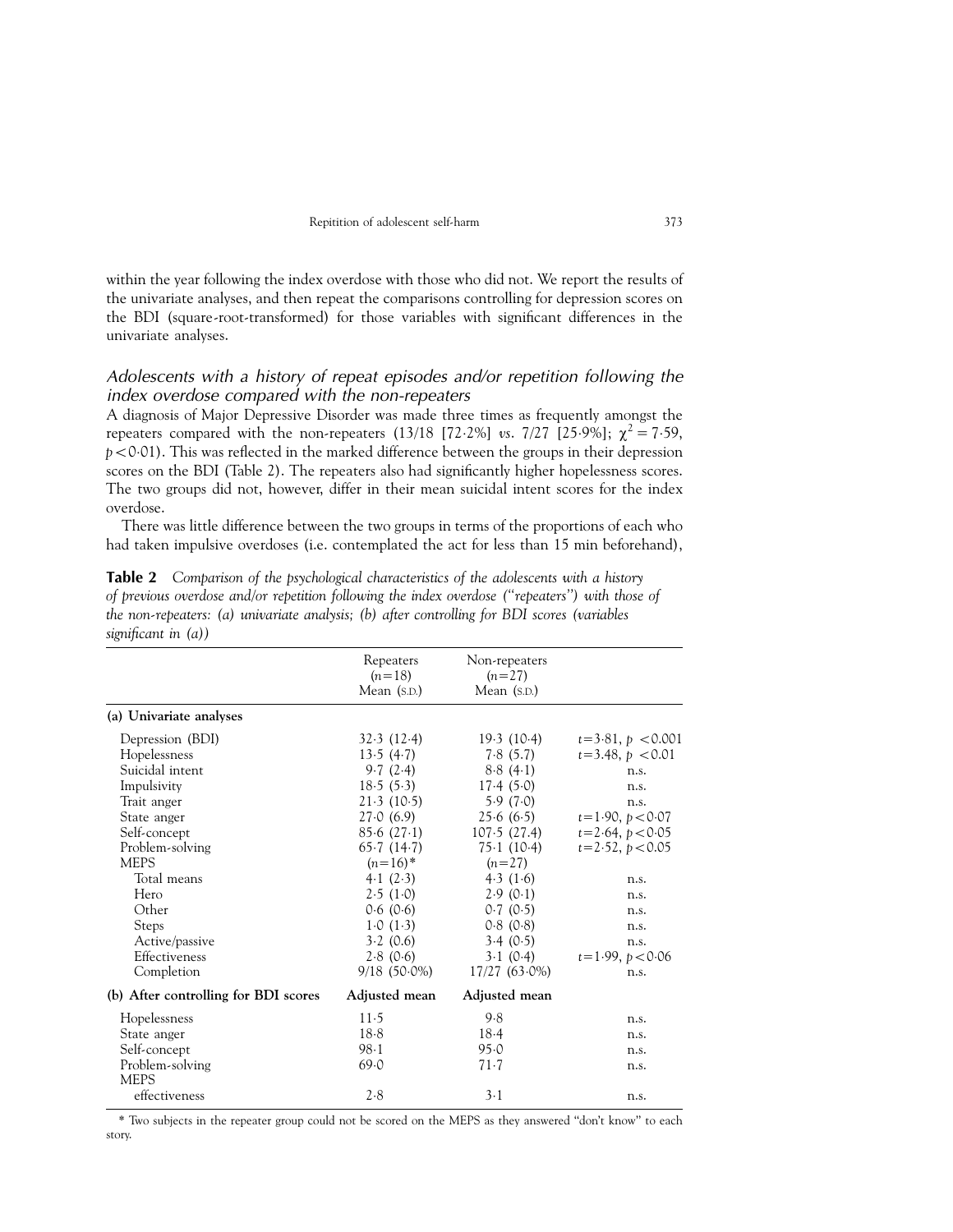<span id="page-4-0"></span>within the year following the index overdose with those who did not. We report the results of the univariate analyses, and then repeat the comparisons controlling for depression scores on the BDI (square-root-transformed) for those variables with significant differences in the univariate analyses.

### Adolescents with a history of repeat episodes and/or repetition following the index overdose compared with the non-repeaters

A diagnosis of Major Depressive Disorder was made three times as frequently amongst the repeaters compared with the non-repeaters (13/18 [72.2%] vs. 7/27 [25.9%];  $\chi^2 = 7.59$ ,  $p<0.01$ ). This was reflected in the marked difference between the groups in their depression scores on the BDI (Table 2). The repeaters also had significantly higher hopelessness scores. The two groups did not, however, differ in their mean suicidal intent scores for the index overdose.

There was little difference between the two groups in terms of the proportions of each who had taken impulsive overdoses (i.e. contemplated the act for less than 15 min beforehand),

| $\sim$                               |                       |                           |                      |
|--------------------------------------|-----------------------|---------------------------|----------------------|
|                                      | Repeaters<br>$(n=18)$ | Non-repeaters<br>$(n=27)$ |                      |
|                                      | Mean $(S.D.)$         | Mean $(S.D.)$             |                      |
| (a) Univariate analyses              |                       |                           |                      |
| Depression (BDI)                     | 32.3(12.4)            | 19.3(10.4)                | $t=3.81, p < 0.001$  |
| Hopelessness                         | 13.5(4.7)             | 7.8(5.7)                  | $t = 3.48, p < 0.01$ |
| Suicidal intent                      | 9.7(2.4)              | 8.8(4.1)                  | n.s.                 |
| Impulsivity                          | 18.5(5.3)             | 17.4(5.0)                 | n.s.                 |
| Trait anger                          | 21.3(10.5)            | 5.9(7.0)                  | n.s.                 |
| State anger                          | 27.0(6.9)             | 25.6(6.5)                 | $t=1.90, p<0.07$     |
| Self-concept                         | 85.6(27.1)            | 107.5(27.4)               | $t = 2.64, p < 0.05$ |
| Problem-solving                      | 65.7(14.7)            | 75.1(10.4)                | $t = 2.52, p < 0.05$ |
| <b>MEPS</b>                          | $(n=16)^*$            | $(n=27)$                  |                      |
| Total means                          | 4.1(2.3)              | 4.3(1.6)                  | n.s.                 |
| Hero                                 | 2.5(1.0)              | 2.9(0.1)                  | n.s.                 |
| Other                                | 0.6(0.6)              | 0.7(0.5)                  | n.s.                 |
| Steps                                | 1.0(1.3)              | 0.8(0.8)                  | n.s.                 |
| Active/passive                       | 3.2(0.6)              | 3.4(0.5)                  | n.s.                 |
| Effectiveness                        | 2.8(0.6)              | $3 \cdot 1$ (0.4)         | $t=1.99, p<0.06$     |
| Completion                           | $9/18(50.0\%)$        | 17/27 (63.0%)             | n.s.                 |
| (b) After controlling for BDI scores | Adjusted mean         | Adjusted mean             |                      |
| Hopelessness                         | $11-5$                | 9.8                       | n.s.                 |
| State anger                          | $18-8$                | 18.4                      | n.s.                 |
| Self-concept                         | $98-1$                | 95.0                      | n.s.                 |
| Problem-solving                      | 69.0                  | $71-7$                    | n.s.                 |
| <b>MEPS</b>                          |                       |                           |                      |
| effectiveness                        | 2.8                   | $3-1$                     | n.s.                 |
|                                      |                       |                           |                      |

Table 2 Comparison of the psychological characteristics of the adolescents with a history of previous overdose and/or repetition following the index overdose (``repeaters'') with those of the non-repeaters: (a) univariate analysis; (b) after controlling for BDI scores (variables significant in  $(a)$ )

\* Two subjects in the repeater group could not be scored on the MEPS as they answered ``don't know'' to each story.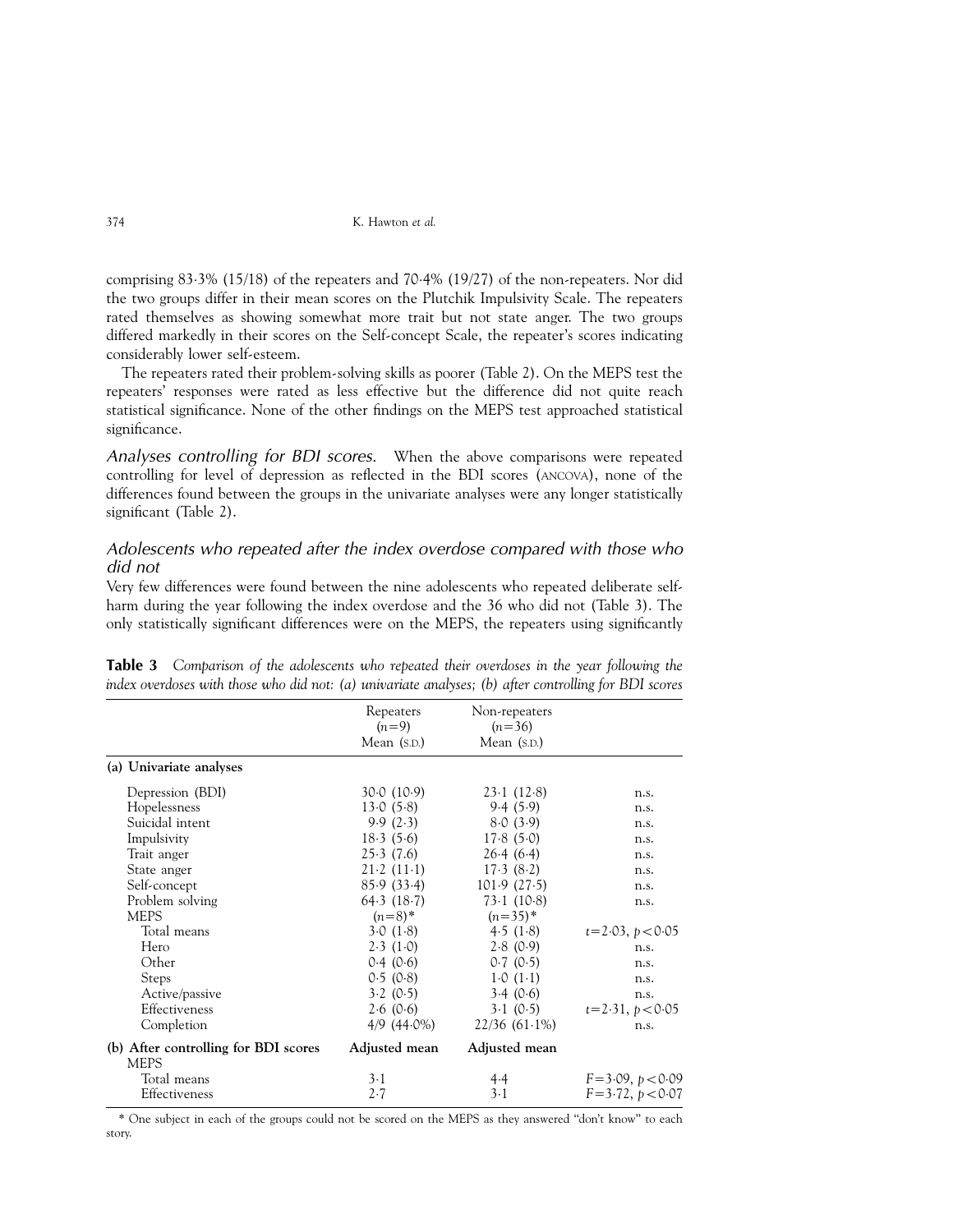comprising 833% (15/18) of the repeaters and 704% (19/27) of the non-repeaters. Nor did the two groups differ in their mean scores on the Plutchik Impulsivity Scale. The repeaters rated themselves as showing somewhat more trait but not state anger. The two groups differed markedly in their scores on the Self-concept Scale, the repeater's scores indicating considerably lower self-esteem.

The repeaters rated their problem-solving skills as poorer [\(Table 2\)](#page-4-0). On the MEPS test the repeaters' responses were rated as less effective but the difference did not quite reach statistical significance. None of the other findings on the MEPS test approached statistical significance.

Analyses controlling for BDI scores. When the above comparisons were repeated controlling for level of depression as reflected in the BDI scores (ANCOVA), none of the differences found between the groups in the univariate analyses were any longer statistically significant [\(Table 2\)](#page-4-0).

## Adolescents who repeated after the index overdose compared with those who did not

Very few differences were found between the nine adolescents who repeated deliberate selfharm during the year following the index overdose and the 36 who did not (Table 3). The only statistically significant differences were on the MEPS, the repeaters using significantly

| Repeaters<br>$(n=9)$<br>Mean $(S.D.)$ | Non-repeaters<br>$(n=36)$<br>Mean $(S.D.)$ |                      |
|---------------------------------------|--------------------------------------------|----------------------|
|                                       |                                            |                      |
| 30.0(10.9)                            | 23.1(12.8)                                 | n.s.                 |
| 13.0(5.8)                             | 9.4(5.9)                                   | n.s.                 |
| 9.9(2.3)                              | 8.0(3.9)                                   | n.s.                 |
| 18.3(5.6)                             | 17.8(5.0)                                  | n.s.                 |
| 25.3(7.6)                             | 26.4(6.4)                                  | n.s.                 |
| 21.2(11.1)                            | 17.3(8.2)                                  | n.s.                 |
| 85.9 (33.4)                           | 101.9(27.5)                                | n.s.                 |
| 64.3 (18.7)                           | 73.1(10.8)                                 | n.s.                 |
| $(n=8)$ *                             | $(n=35)$ *                                 |                      |
| 3.0(1.8)                              | 4.5(1.8)                                   | $t = 2.03, p < 0.05$ |
| 2.3(1.0)                              | 2.8(0.9)                                   | n.s.                 |
| 0.4(0.6)                              | 0.7(0.5)                                   | n.s.                 |
| 0.5(0.8)                              | 1.0(1.1)                                   | n.s.                 |
| 3.2(0.5)                              | 3.4(0.6)                                   | n.s.                 |
| 2.6(0.6)                              | 3.1(0.5)                                   | $t = 2.31, p < 0.05$ |
|                                       | $22/36(61.1\%)$                            | n.s.                 |
| Adjusted mean                         | Adjusted mean                              |                      |
|                                       |                                            | $F = 3.09, p < 0.09$ |
| $2-7$                                 | $3-1$                                      | $F = 3.72, p < 0.07$ |
|                                       | $3-1$                                      | 4/9 (44.0%)<br>4.4   |

Table 3 Comparison of the adolescents who repeated their overdoses in the year following the index overdoses with those who did not: (a) univariate analyses; (b) after controlling for BDI scores

\* One subject in each of the groups could not be scored on the MEPS as they answered ``don't know'' to each story.

<span id="page-5-0"></span>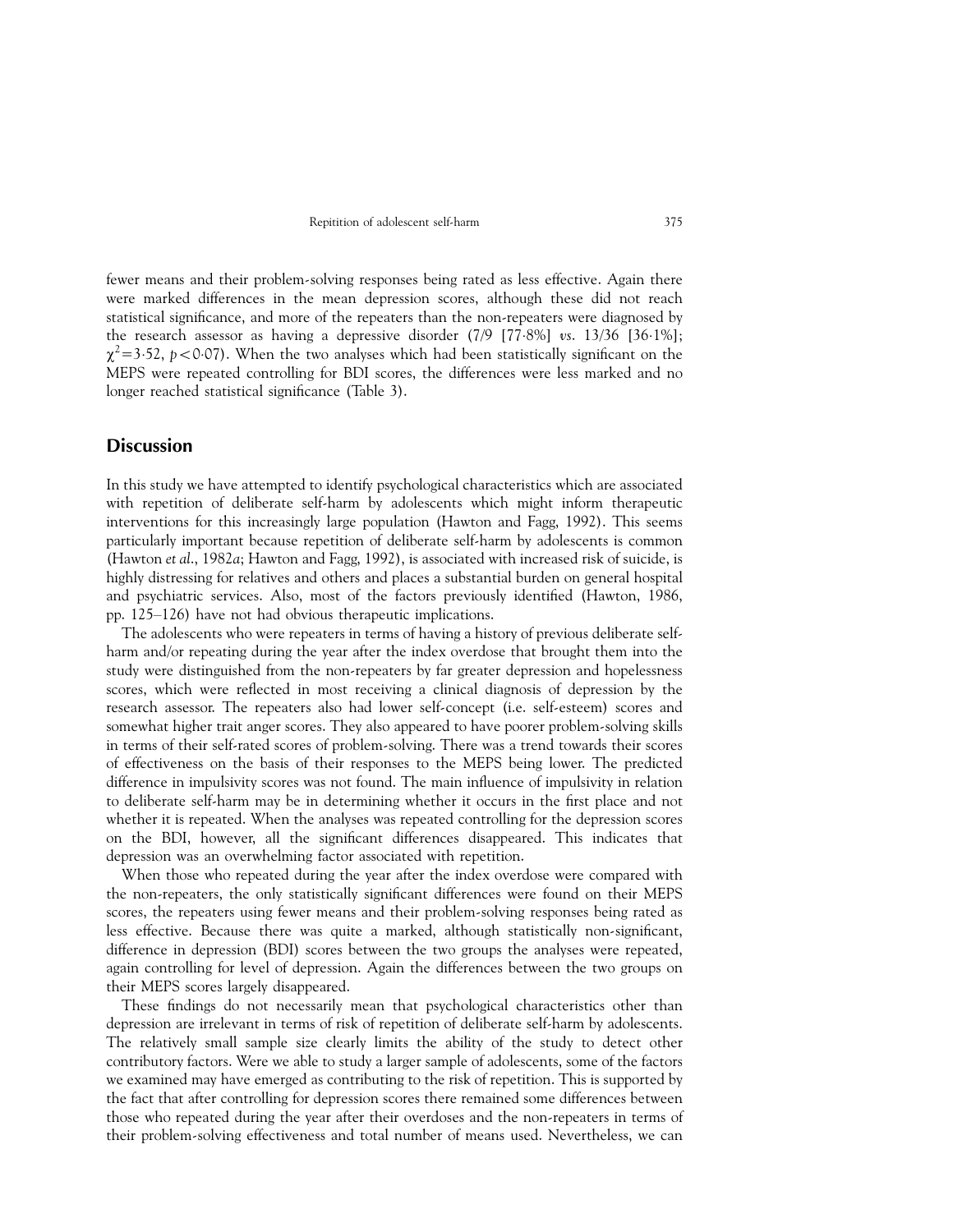fewer means and their problem-solving responses being rated as less effective. Again there were marked differences in the mean depression scores, although these did not reach statistical significance, and more of the repeaters than the non-repeaters were diagnosed by the research assessor as having a depressive disorder (7/9 [778%] vs. 13/36 [361%];  $\chi^2$ =3.52, p<0.07). When the two analyses which had been statistically significant on the MEPS were repeated controlling for BDI scores, the differences were less marked and no longer reached statistical significance [\(Table 3\)](#page-5-0).

### **Discussion**

In this study we have attempted to identify psychological characteristics which are associated with repetition of deliberate self-harm by adolescents which might inform therapeutic interventions for this increasingly large population [\(Hawton and Fagg, 1992\)](#page-8-0). This seems particularly important because repetition of deliberate self-harm by adolescents is common [\(Hawton](#page-8-0) et al., 1982a; [Hawton and Fagg, 1992\)](#page-8-0), is associated with increased risk of suicide, is highly distressing for relatives and others and places a substantial burden on general hospital and psychiatric services. Also, most of the factors previously identified [\(Hawton, 1986,](#page-8-0) pp. 125-126) have not had obvious therapeutic implications.

The adolescents who were repeaters in terms of having a history of previous deliberate selfharm and/or repeating during the year after the index overdose that brought them into the study were distinguished from the non-repeaters by far greater depression and hopelessness scores, which were reflected in most receiving a clinical diagnosis of depression by the research assessor. The repeaters also had lower self-concept (i.e. self-esteem) scores and somewhat higher trait anger scores. They also appeared to have poorer problem-solving skills in terms of their self-rated scores of problem-solving. There was a trend towards their scores of effectiveness on the basis of their responses to the MEPS being lower. The predicted difference in impulsivity scores was not found. The main influence of impulsivity in relation to deliberate self-harm may be in determining whether it occurs in the first place and not whether it is repeated. When the analyses was repeated controlling for the depression scores on the BDI, however, all the significant differences disappeared. This indicates that depression was an overwhelming factor associated with repetition.

When those who repeated during the year after the index overdose were compared with the non-repeaters, the only statistically significant differences were found on their MEPS scores, the repeaters using fewer means and their problem-solving responses being rated as less effective. Because there was quite a marked, although statistically non-significant, difference in depression (BDI) scores between the two groups the analyses were repeated, again controlling for level of depression. Again the differences between the two groups on their MEPS scores largely disappeared.

These findings do not necessarily mean that psychological characteristics other than depression are irrelevant in terms of risk of repetition of deliberate self-harm by adolescents. The relatively small sample size clearly limits the ability of the study to detect other contributory factors. Were we able to study a larger sample of adolescents, some of the factors we examined may have emerged as contributing to the risk of repetition. This is supported by the fact that after controlling for depression scores there remained some differences between those who repeated during the year after their overdoses and the non-repeaters in terms of their problem-solving effectiveness and total number of means used. Nevertheless, we can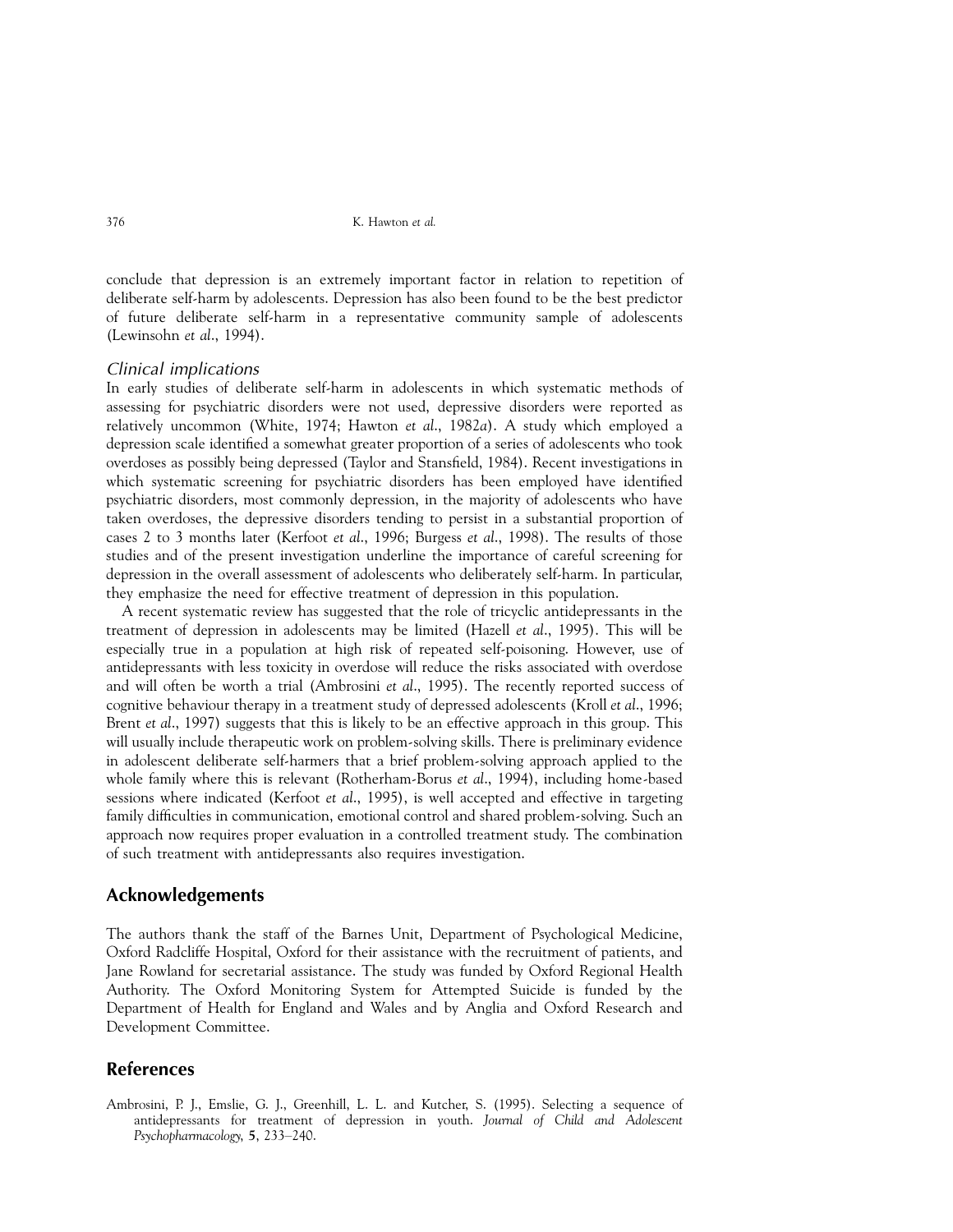conclude that depression is an extremely important factor in relation to repetition of deliberate self-harm by adolescents. Depression has also been found to be the best predictor of future deliberate self-harm in a representative community sample of adolescents [\(Lewinsohn](#page-9-0) et al., 1994).

#### Clinical implications

In early studies of deliberate self-harm in adolescents in which systematic methods of assessing for psychiatric disorders were not used, depressive disorders were reported as relatively uncommon ([White, 1974;](#page-9-0) [Hawton](#page-8-0) et al., 1982a). A study which employed a depression scale identified a somewhat greater proportion of a series of adolescents who took overdoses as possibly being depressed (Taylor and Stansfield, 1984). Recent investigations in which systematic screening for psychiatric disorders has been employed have identified psychiatric disorders, most commonly depression, in the majority of adolescents who have taken overdoses, the depressive disorders tending to persist in a substantial proportion of cases 2 to 3 months later [\(Kerfoot](#page-8-0) et al., 1996; [Burgess](#page-8-0) et al., 1998). The results of those studies and of the present investigation underline the importance of careful screening for depression in the overall assessment of adolescents who deliberately self-harm. In particular, they emphasize the need for effective treatment of depression in this population.

A recent systematic review has suggested that the role of tricyclic antidepressants in the treatment of depression in adolescents may be limited (Hazell et al[., 1995\)](#page-8-0). This will be especially true in a population at high risk of repeated self-poisoning. However, use of antidepressants with less toxicity in overdose will reduce the risks associated with overdose and will often be worth a trial (Ambrosini et al., 1995). The recently reported success of cognitive behaviour therapy in a treatment study of depressed adolescents (Kroll et al[., 1996;](#page-9-0) Brent *et al.*, 1997) suggests that this is likely to be an effective approach in this group. This will usually include therapeutic work on problem-solving skills. There is preliminary evidence in adolescent deliberate self-harmers that a brief problem-solving approach applied to the whole family where this is relevant [\(Rotherham-Borus](#page-9-0) et al., 1994), including home-based sessions where indicated [\(Kerfoot](#page-8-0) et al., 1995), is well accepted and effective in targeting family difficulties in communication, emotional control and shared problem-solving. Such an approach now requires proper evaluation in a controlled treatment study. The combination of such treatment with antidepressants also requires investigation.

### Acknowledgements

The authors thank the staff of the Barnes Unit, Department of Psychological Medicine, Oxford Radcliffe Hospital, Oxford for their assistance with the recruitment of patients, and Jane Rowland for secretarial assistance. The study was funded by Oxford Regional Health Authority. The Oxford Monitoring System for Attempted Suicide is funded by the Department of Health for England and Wales and by Anglia and Oxford Research and Development Committee.

## References

Ambrosini, P. J., Emslie, G. J., Greenhill, L. L. and Kutcher, S. (1995). Selecting a sequence of antidepressants for treatment of depression in youth. Journal of Child and Adolescent Psychopharmacology, 5, 233-240.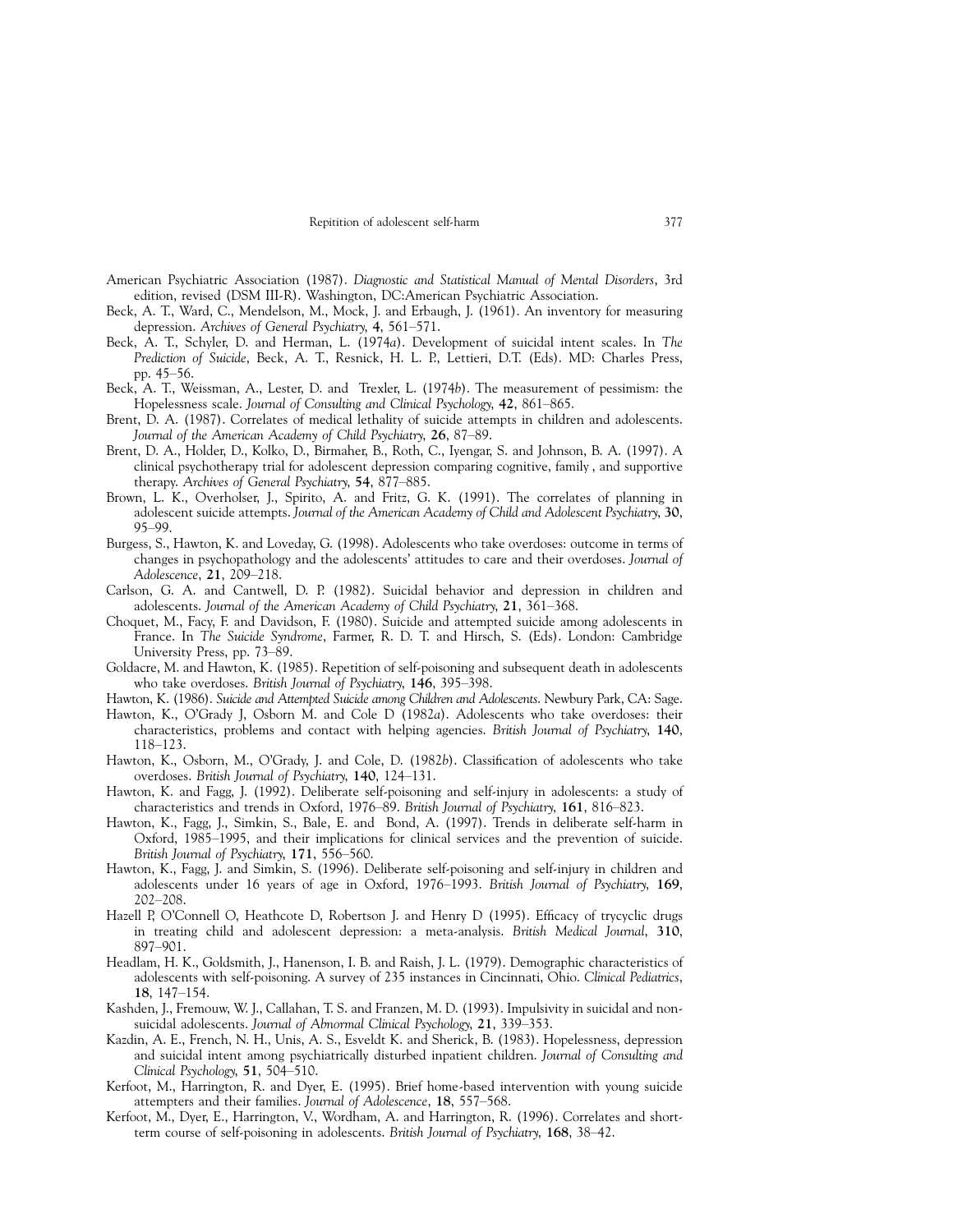- <span id="page-8-0"></span>American Psychiatric Association (1987). Diagnostic and Statistical Manual of Mental Disorders, 3rd edition, revised (DSM III-R). Washington, DC:American Psychiatric Association.
- Beck, A. T., Ward, C., Mendelson, M., Mock, J. and Erbaugh, J. (1961). An inventory for measuring depression. Archives of General Psychiatry, 4, 561-571.
- Beck, A. T., Schyler, D. and Herman, L. (1974a). Development of suicidal intent scales. In The Prediction of Suicide, Beck, A. T., Resnick, H. L. P., Lettieri, D.T. (Eds). MD: Charles Press, pp. 45-56.
- Beck, A. T., Weissman, A., Lester, D. and Trexler, L. (1974b). The measurement of pessimism: the Hopelessness scale. Journal of Consulting and Clinical Psychology, 42, 861–865.
- Brent, D. A. (1987). Correlates of medical lethality of suicide attempts in children and adolescents. Journal of the American Academy of Child Psychiatry, 26, 87-89.
- Brent, D. A., Holder, D., Kolko, D., Birmaher, B., Roth, C., Iyengar, S. and Johnson, B. A. (1997). A clinical psychotherapy trial for adolescent depression comparing cognitive, family , and supportive therapy. Archives of General Psychiatry, 54, 877-885.
- Brown, L. K., Overholser, J., Spirito, A. and Fritz, G. K. (1991). The correlates of planning in adolescent suicide attempts. Journal of the American Academy of Child and Adolescent Psychiatry, 30, 95±99.
- Burgess, S., Hawton, K. and Loveday, G. (1998). Adolescents who take overdoses: outcome in terms of changes in psychopathology and the adolescents' attitudes to care and their overdoses. Journal of Adolescence, 21, 209-218.
- Carlson, G. A. and Cantwell, D. P. (1982). Suicidal behavior and depression in children and adolescents. Journal of the American Academy of Child Psychiatry, 21, 361-368.
- Choquet, M., Facy, F. and Davidson, F. (1980). Suicide and attempted suicide among adolescents in France. In The Suicide Syndrome, Farmer, R. D. T. and Hirsch, S. (Eds). London: Cambridge University Press, pp. 73-89.
- Goldacre, M. and Hawton, K. (1985). Repetition of self-poisoning and subsequent death in adolescents who take overdoses. British Journal of Psychiatry, 146, 395-398.
- Hawton, K. (1986). Suicide and Attempted Suicide among Children and Adolescents. Newbury Park, CA: Sage.
- Hawton, K., O'Grady J, Osborn M. and Cole D (1982a). Adolescents who take overdoses: their characteristics, problems and contact with helping agencies. British Journal of Psychiatry, 140, 118±123.
- Hawton, K., Osborn, M., O'Grady, J. and Cole, D. (1982b). Classification of adolescents who take overdoses. British Journal of Psychiatry, 140, 124-131.
- Hawton, K. and Fagg, J. (1992). Deliberate self-poisoning and self-injury in adolescents: a study of characteristics and trends in Oxford, 1976–89. British Journal of Psychiatry, 161, 816–823.
- Hawton, K., Fagg, J., Simkin, S., Bale, E. and Bond, A. (1997). Trends in deliberate self-harm in Oxford, 1985-1995, and their implications for clinical services and the prevention of suicide. British Journal of Psychiatry, 171, 556-560.
- Hawton, K., Fagg, J. and Simkin, S. (1996). Deliberate self-poisoning and self-injury in children and adolescents under 16 years of age in Oxford, 1976-1993. British Journal of Psychiatry, 169, 202±208.
- Hazell P, O'Connell O, Heathcote D, Robertson J. and Henry D (1995). Efficacy of trycyclic drugs in treating child and adolescent depression: a meta-analysis. British Medical Journal, 310, 897±901.
- Headlam, H. K., Goldsmith, J., Hanenson, I. B. and Raish, J. L. (1979). Demographic characteristics of adolescents with self-poisoning. A survey of 235 instances in Cincinnati, Ohio. Clinical Pediatrics, 18, 147-154.
- Kashden, J., Fremouw, W. J., Callahan, T. S. and Franzen, M. D. (1993). Impulsivity in suicidal and nonsuicidal adolescents. Journal of Abnormal Clinical Psychology, 21, 339-353.
- Kazdin, A. E., French, N. H., Unis, A. S., Esveldt K. and Sherick, B. (1983). Hopelessness, depression and suicidal intent among psychiatrically disturbed inpatient children. Journal of Consulting and Clinical Psychology,  $51$ ,  $504-510$ .
- Kerfoot, M., Harrington, R. and Dyer, E. (1995). Brief home-based intervention with young suicide attempters and their families. Journal of Adolescence, 18, 557-568.
- Kerfoot, M., Dyer, E., Harrington, V., Wordham, A. and Harrington, R. (1996). Correlates and shortterm course of self-poisoning in adolescents. British Journal of Psychiatry, 168, 38–42.